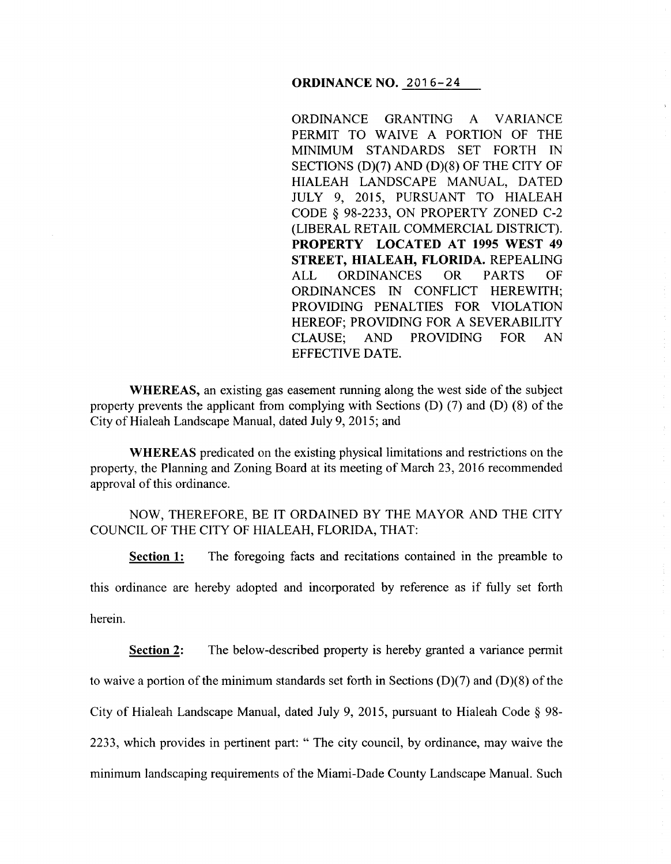### **ORDINANCE NO. 2016-24**

ORDINANCE GRANTING A VARIANCE PERMIT TO WAIVE A PORTION OF THE MINIMUM STANDARDS SET FORTH IN SECTIONS (D)(7) AND (D)(8) OF THE CITY OF HIALEAH LANDSCAPE MANUAL, DATED JULY 9, 2015, PURSUANT TO HIALEAH CODE § 98-2233, ON PROPERTY ZONED C-2 (LIBERAL RETAIL COMMERCIAL DISTRICT). **PROPERTY LOCATED AT 1995 WEST 49 STREET, HIALEAH, FLORIDA.** REPEALING ALL ORDINANCES OR PARTS OF ORDINANCES IN CONFLICT HEREWITH; PROVIDING PENALTIES FOR VIOLATION HEREOF; PROVIDING FOR A SEVERABILITY CLAUSE; AND PROVIDING FOR AN EFFECTIVE DATE.

 $\bar{\Sigma}$ 

**WHEREAS,** an existing gas easement running along the west side of the subject property prevents the applicant from complying with Sections (D) (7) and (D) (8) of the City of Hialeah Landscape Manual, dated July 9, 2015; and

**WHEREAS** predicated on the existing physical limitations and restrictions on the property, the Planning and Zoning Board at its meeting of March 23, 2016 recommended approval of this ordinance.

## NOW, THEREFORE, BE IT ORDAINED BY THE MAYOR AND THE CITY COUNCIL OF THE CITY OF HIALEAH, FLORIDA, THAT:

**Section 1:** The foregoing facts and recitations contained in the preamble to this ordinance are hereby adopted and incorporated by reference as if fully set forth herein.

**Section 2:** The below-described property is hereby granted a variance permit to waive a portion of the minimum standards set forth in Sections  $(D)(7)$  and  $(D)(8)$  of the City of Hialeah Landscape Manual, dated July 9, 2015, pursuant to Hialeah Code  $\S$  98-2233, which provides in pertinent part: " The city council, by ordinance, may waive the minimum landscaping requirements of the Miami-Dade County Landscape Manual. Such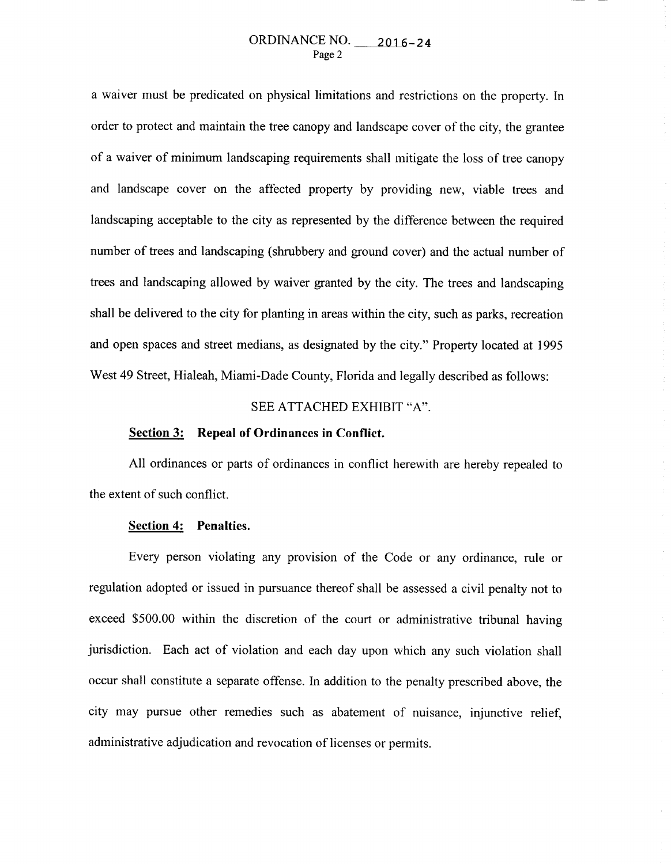### ORDINANCE NO. 2016-24 Page 2

a waiver must be predicated on physical limitations and restrictions on the property. In order to protect and maintain the tree canopy and landscape cover of the city, the grantee of a waiver of minimum landscaping requirements shall mitigate the loss of tree canopy and landscape cover on the affected property by providing new, viable trees and landscaping acceptable to the city as represented by the difference between the required number of trees and landscaping (shrubbery and ground cover) and the actual number of trees and landscaping allowed by waiver granted by the city. The trees and landscaping shall be delivered to the city for planting in areas within the city, such as parks, recreation and open spaces and street medians, as designated by the city." Property located at 1995 West 49 Street, Hialeah, Miami-Dade County, Florida and legally described as follows:

### SEE ATTACHED EXHIBIT "A".

# **Section 3: Repeal of Ordinances in Conflict.**

All ordinances or parts of ordinances in conflict herewith are hereby repealed to the extent of such conflict.

### **Section 4: Penalties.**

Every person violating any provision of the Code or any ordinance, rule or regulation adopted or issued in pursuance thereof shall be assessed a civil penalty not to exceed \$500.00 within the discretion of the court or administrative tribunal having jurisdiction. Each act of violation and each day upon which any such violation shall occur shall constitute a separate offense. In addition to the penalty prescribed above, the city may pursue other remedies such as abatement of nuisance, injunctive relief, administrative adjudication and revocation of licenses or permits.